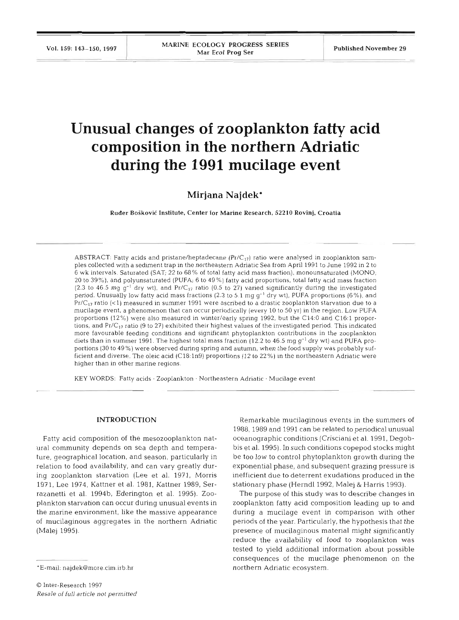# **Unusual changes of zooplankton fatty acid composition in the northern Adriatic during the 1991 mucilage event**

**Mirjana Najdek\*** 

Ruder BoSkovic Institute, Center for Marine Research, **52210** Rovinj, Croatia

ABSTRACT: Fatty acids and pristane/heptadecane  $(Pr/C_{17})$  ratio were analysed in zooplankton samples collected with a sediment trap in the northeastern Adriatic Sea from April 1991 to June 1992 in 2 to 6 wk intervals. Saturated (SAT; 22 to 68% of total fatty acid mass fraction), monounsaturated (MONO; 20 to **39"'0),** and polyunsaturated (PUFA; 6 to 49%) fatty acid proportions, total fatty acid mass fraction (2.3 to 46.5 mg  $q^{-1}$  dry wt), and Pr/C<sub>17</sub> ratio (0.5 to 27) varied significantly during the investigated period. Unusually low fatty acid mass fractions (2.3 to 5.1 mg  $g^{-1}$  dry wt), PUFA proportions (6%), and  $Pr/C_{17}$  ratio (<1) measured in summer 1991 were ascribed to a drastic zooplankton starvation due to a mucilage event, a phenomenon that can occur periodically (every 10 to 50 yr) in the region. Low PUFA proportions (12%) were also measured in winter/early spring 1992, but the C14:O and C16:l proportions, and  $Pr/C_{17}$  ratio (9 to 27) exhibited their highest values of the investigated period. This indicated more favourable feeding conditions and significant phytoplankton contributions in the zooplankton diets than in summer 1991. The highest total mass fraction (12.2 to 46.5 mg  $g^{-1}$  dry wt) and PUFA proportions (30 to 49 %) were observed during spring and autumn, when the food supply was probably sufficient and diverse. The oleic acid (C18:1n9) proportions (12 to 22%) in the northeastern Adriatic were higher than in other marine regions.

KEY WORDS: Fatty acids · Zooplankton · Northeastern Adriatic · Mucilage event

#### **INTRODUCTION**

Fatty acid composition of the mesozooplankton natural community depends on sea depth and temperature, geographical location, and season, particularly in relation to food availability, and can vary greatly during zooplankton starvation (Lee et al. 1971, Morris 1971, Lee 1974, Kattner et al. 1981, Kattner 1989, Serrazanetti et al. 1994b, Ederington et al. 1995). Zooplankton starvation can occur during unusual events in the marine environment, like the massive appearance of mucilaginous aggregates in the northern Adriatic (Malej 1995).

Remarkable mucilaginous events in the summers of 1988,1989 and 1991 can be related to periodical unusual oceanographic conditions (Crisciani et al. 1991, Degobbis et al. 1995). In such conditions copepod stocks might be too low to control phytoplankton growth during the exponential phase, and subsequent grazing pressure is inefficient due to deterrent exudations produced in the stationary phase (Herndl 1992, Malej & Harris 1993).

The purpose of this study was to describe changes in zooplankton fatty acid composition leading up to and during a mucilage event in comparison with other periods of the year. Particularly, the hypothesis that the presence of mucilaginous material might significantly reduce the availability of food to zooplankton was tested to yield additional information about possible consequences of the mucilage phenomenon on the northern Adriatic ecosystem.

<sup>\*</sup>E-mail: najdek@more.cim.irb.hr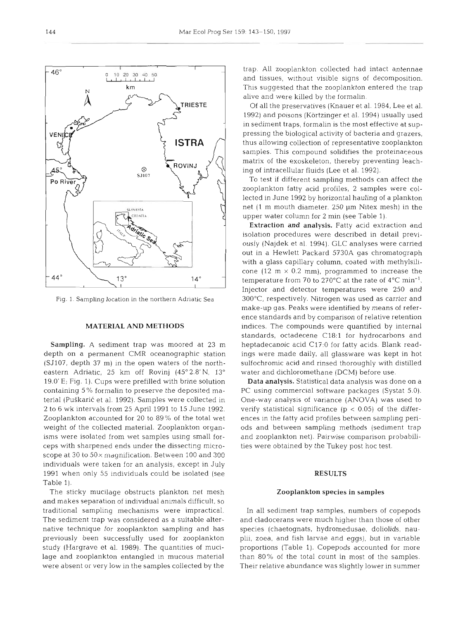Fig. 1. Sampling location in the northern Adriatic Sea

# MATERIAL AND METHODS

Sampling. A sediment trap was moored at 23 m depth on a permanent CMR oceanographic station (SJ107, depth 37 m) in the open waters of the northeastern Adriatic, 25 km off Rovinj (45°2.8' N, 13° 19.O'E; Fig. 1). Cups were prefilled with brine solution containing 5 % formalin to preserve the deposited material (Puškarić et al. 1992). Samples were collected in 2 to 6 wk intervals from 25 April 1991 to 15 June 1992. Zooplankton accounted for 20 to 89% of the total wet weight of the collected material. Zooplankton organisms were isolated from wet samples using small forceps with sharpened ends under the dissecting microscope at 30 to 50 $\times$  magnification. Between 100 and 300 individuals were taken for an analysis, except in July 1991 when only 55 individuals could be isolated (see Table 1).

The sticky mucilage obstructs plankton net mesh and makes separation of individual animals difficult, so traditional sampling mechanisms were impractical. The sediment trap was considered as a suitable alternative technique for zooplankton sampling and has previously been successfully used for zooplankton study (Hargrave et al. 1989). The quantities of mucilage and zooplankton entangled in mucous material were absent or very low in the samples collected by the

trap. All zooplankton collected had intact antennae and tissues, without visible signs of decomposition. This suggested that the zooplankton entered the trap alive and were killed by the formalin.

Of all the preservatives (Knauer et al. 1984, Lee et al. 1992) and poisons (Körtzinger et al. 1994) usually used in sediment traps, formalin is the most effective at suppressing the biological activity of bacteria and grazers, thus allowing collection of representative zooplankton samples. This compound solidifies the proteinaceous matrix of the exoskeleton, thereby preventing leaching of intracellular fluids (Lee et al. 1992).

To test if different sampling methods can affect the zooplankton fatty acid profiles, 2 samples were collected in June 1992 by horizontal hauling of a plankton net (1 m mouth diameter, 250 µm Nitex mesh) in the upper water column for 2 min (see Table 1).

Extraction and analysis. Fatty acid extraction and isolation procedures were described in detail previously (Najdek et al. 1994). GLC analyses were carried out in a Hewlett Packard 5730A gas chromatograph with a glass capillary column, coated with methylsilicone (12 m  $\times$  0.2 mm), programmed to increase the temperature from 70 to 270 $\degree$ C at the rate of 4 $\degree$ C min<sup>-1</sup>. Injector and detector temperatures were 250 and 300°C, respectively. Nitrogen was used as carrier and make-up gas. Peaks were identified by means of reference standards and by comparison of relative retention indices. The compounds were quantified by internal standards, octadecene C18:l for hydrocarbons and heptadecanoic acid C17:O for fatty acids. Blank readings were made daily, all glassware was kept in hot sulfochromic acid and rinsed thoroughly with distilled water and dichloromethane (DCM) before use.

Data analysis. Statistical data analysis was done on a PC using commercial software packages (Systat 5.0). One-way analysis of variance (ANOVA) was used to verify statistical significance ( $p < 0.05$ ) of the differences in the fatty acid profiles between sampling penods and between sampling methods (sediment trap and zooplankton net). Pairwise comparison probabilities were obtained by the Tukey post hoc test.

# RESULTS

#### Zooplankton species in samples

In all sediment trap samples, numbers of copepods and cladocerans were much higher than those of other species (chaetognats, hydromedusae, doliolids, nauplii, zoea, and fish larvae and eggs), but in variable proportions (Table 1). Copepods accounted for more than 80% of the total count in most of the samples. Their relative abundance was slightly lower in summer

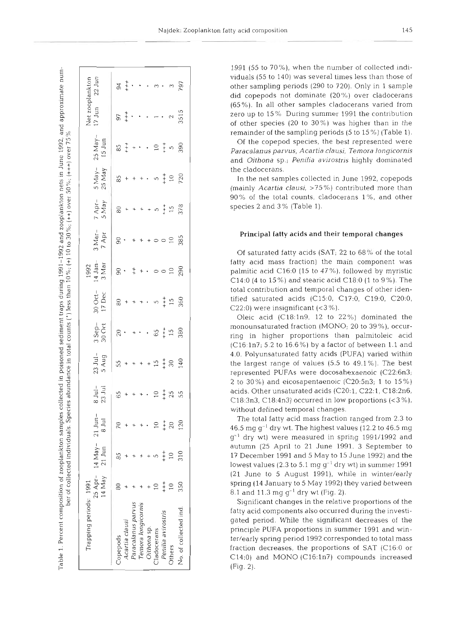Table 1. Percent composition of zooplankton samples collected in poisoned sediment traps during 1991–1992 and zooplankton nets in June 1992, and approximate number of collected individuals. Species abundance in total counts (\*) less than 10%; (++100 to 30%; (+++) over 50%; (++++) over 75%

| Trapping periods: 1991 | 14 May          | $25$ Apr - 14 May - $21$ Jun-<br>$21 \text{ Jun}$ | $8$ Jul | $\frac{1}{23}$<br>23 Jul | $23$ Jul-<br>5 Aug | 3 Sep-<br>30 Oct                                                                | 80 Oct-<br>17 Dec    | 1992<br>14 Jan-<br>3 Mar | $3$ Mar-<br>7 Apr | 7 Apr-<br>5 May             | 5 May-<br>25 May    | $25$ May-<br>$15$ Jun                                                                                                                                                                                                                 | $17 \text{ Jun}$   | $22$ Jun<br>Net zooplankton |
|------------------------|-----------------|---------------------------------------------------|---------|--------------------------|--------------------|---------------------------------------------------------------------------------|----------------------|--------------------------|-------------------|-----------------------------|---------------------|---------------------------------------------------------------------------------------------------------------------------------------------------------------------------------------------------------------------------------------|--------------------|-----------------------------|
| <b>Copepods</b>        |                 | 85                                                |         | 65                       |                    | $ 8 \cdot  $                                                                    | $\frac{1}{8}$ + +    | $8.1 + 00$               | $\circ \cdot$ +   | $\frac{1}{8}$ +             | $\frac{15}{80}$ + + |                                                                                                                                                                                                                                       |                    |                             |
| Acartia clausi         |                 |                                                   |         |                          |                    |                                                                                 |                      |                          |                   |                             |                     |                                                                                                                                                                                                                                       |                    |                             |
| Paracalanus parvus     |                 |                                                   |         |                          |                    |                                                                                 |                      |                          |                   |                             |                     |                                                                                                                                                                                                                                       |                    |                             |
| Temora longicornis     |                 |                                                   |         |                          |                    |                                                                                 |                      |                          |                   |                             |                     |                                                                                                                                                                                                                                       |                    |                             |
| Oithona sp.            |                 |                                                   |         |                          |                    |                                                                                 |                      |                          |                   |                             |                     |                                                                                                                                                                                                                                       |                    |                             |
| Cladocerans            |                 |                                                   |         |                          |                    |                                                                                 |                      |                          |                   |                             |                     |                                                                                                                                                                                                                                       |                    |                             |
| Penilia avirostris     | $+$<br>$+$      | $+ +$                                             | $+ +$   |                          |                    |                                                                                 |                      |                          |                   |                             |                     |                                                                                                                                                                                                                                       |                    |                             |
| Others                 | $\overline{10}$ | $\overline{10}$                                   | 20      | $2\frac{1}{4}$ % %       | $5 + + + + 5 + 0$  | $\cdot$ . $\frac{1}{6}$ $\frac{1}{1}$ $\frac{1}{2}$ $\frac{5}{2}$ $\frac{5}{2}$ | $+ 0.50$<br>$+ 0.50$ | $10$<br>290              | 00000000          | $+ + 5 + 5$<br>+ + 5<br>578 | $+ 0.5 + 0.720$     | $8 + + \cdot$ . $9 + +$ 5 $-$ 6 $-$ 6 $-$ 6 $-$ 6 $-$ 6 $-$ 6 $-$ 6 $-$ 6 $-$ 6 $-$ 6 $-$ 6 $-$ 6 $-$ 6 $-$ 6 $-$ 6 $-$ 6 $-$ 6 $-$ 6 $-$ 6 $-$ 6 $-$ 6 $-$ 6 $-$ 6 $-$ 6 $-$ 6 $-$ 6 $-$ 6 $-$ 6 $-$ 6 $-$ 6 $-$ 6 $-$ 6 $-$ 6 $-$ 6 | $5 + \cdots - 855$ | $3 + 1$ 797                 |
| No. of collected ind.  | 350             | 310                                               | 120     |                          |                    |                                                                                 |                      |                          |                   |                             |                     |                                                                                                                                                                                                                                       |                    |                             |
|                        |                 |                                                   |         |                          |                    |                                                                                 |                      |                          |                   |                             |                     |                                                                                                                                                                                                                                       |                    |                             |

1991 (55 to  $70\%$ ), when the number of collected individuals (55 to 140) was several times less than those of other sampling periods (290 to 720). Only in 1 sample did copepods not dominate (20'%,) over cladocerans (65%). In all other samples cladocerans varied from zero up to 15 %, During summer 1991 the contribution of other species (20 to 30%) was higher than in the remainder of the sampling periods  $(5 \text{ to } 15\%)$  (Table 1).

Of the copepod species, the best represented were *Paracalanus parvus, Acartia clausi, Ternora longicornis*  and *Oithona* sp.; *Penilia avirostris* highly dominated the cladocerans.

In the net samples collected in June 1992, copepods (mainly *Acartia clausi,* 95%) contributed more than 90% of the total counts, cladocerans l%, and other species 2 and 3 % (Table 1).

### Principal fatty acids and their temporal changes

Of saturated fatty acids (SAT; 22 to 68% of the total fatty acid mass fraction) the main component was palmitic acid  $C16:0$  (15 to 47%), followed by myristic C14:0 (4 to  $15\%$ ) and stearic acid C18:0 (1 to 9%). The total contribution and temporal changes of other identified saturated acids (C15:0, C17:0, C19:0, C20:0, C22:0) were insignificant  $( $3\%$ ).$ 

Oleic acid (C18:ln9, 12 to 22%) dominated the monounsaturated fraction (MONO; 20 to 39 %), occurring in higher proportions than palmitoleic acid (C16:1n7; 5.2 to 16.6%) by a factor of between 1.1 and 4.0. Polyunsaturated fatty acids (PUFA) varied within the largest range of values (5.5 to 49.1 %). The best represented PUFAs were docosahexaenoic (C22:6n3; 2 to 30%) and eicosapentaenoic  $(C20:5n3; 1$  to  $15\%)$ acids. Other unsaturated acids (C20:1, C22:1, C18:2n6, C18:3n3, C18:4n3) occurred in low proportions  $($  <math>3\%</math>), without defined temporal changes.

The total fatty acid mass fraction ranged from 2.3 to 46.5 mg  $q^{-1}$  dry wt. The highest values (12.2 to 46.5 mg)  $g^{-1}$  dry wt) were measured in spring 1991/1992 and autumn (25 April to 21 June 1991, 3 September to 17 December 1991 and 5 May to 15 June 1992) and the lowest values (2.3 to 5.1 mg  $q^{-1}$  dry wt) in summer 1991 (21 June to 5 August 1991), while in winter/early spring (14 January to 5 May 1992) they varied between 8.1 and 11.3 mg  $g^{-1}$  dry wt (Fig. 2).

Significant changes in the relative proportions of the fatty acid components also occurred during the investigated period. While the significant decreases of the principle PUFA proportions in summer 1991 and winter/early spring period 1992 corresponded to total mass fraction decreases, the proportions of SAT (C16:O or C14:O) and MONO (C16:ln7) compounds increased (Fig. 2).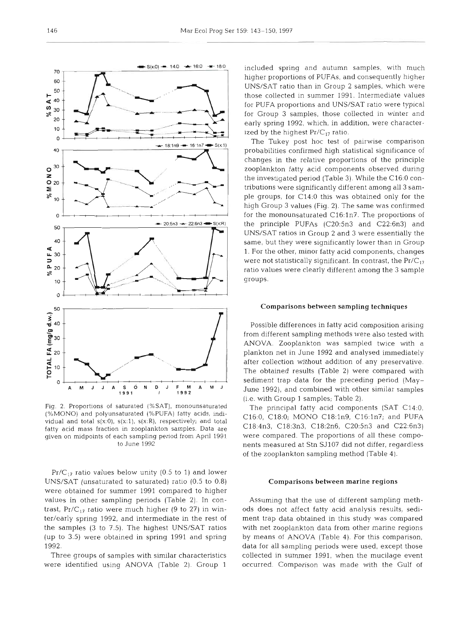

Fig. 2. Proportions of saturated (%SAT), monounsaturated (%MONO) and polyunsaturated (%PUFA) fatty acids, indlvidual and total  $s(x:0)$ ,  $s(x:1)$ ,  $s(x:R)$ , respectively; and total fatty acid mass fraction in zooplankton samples. Data are given on midpoints of each sampling period from April 1991 to June 1992

 $Pr/C_{17}$  ratio values below unity (0.5 to 1) and lower UNS/SAT (unsaturated to saturated) ratio (0.5 to 0.8) were obtained for summer 1991 compared to higher values in other sampling periods (Table 2). In contrast,  $Pr/C_{17}$  ratio were much higher (9 to 27) in winter/early spring 1992, and intermediate in the rest of the samples **(3** to 7.5). The highest UNS/SAT ratios (up to 3.5) were obtained in spring 1991 and spring

Three groups of samples with similar characteristics were identified using ANOVA (Table 2). Group 1

included spring and autumn samples, with much higher proportions of PUFAs, and consequently higher UNS/SAT ratio than in Group 2 samples, which were those collected in summer 1991. Intermediate values for PUFA proportions and UNS/SAT ratio were typical for Group 3 samples, those collected in winter and early spring 1992, which, in addition, were characterized by the highest  $Pr/C_{17}$  ratio.

The Tukey post hoc test of pairwise comparison probabilities confirmed high statistical significance of changes in the relative proportions of the principle zooplankton fatty acid components observed during the investigated period (Table 3). While the C16:O contributions were significantly different among all 3 sample groups, for C14:O this was obtained only for the high Group 3 values (Fig. 2). The same was confirmed for the monounsaturated C16:ln7. The proportions of the principle PUFAs (C20:5n3 and C22:6n3) and UNS/SAT ratios in Group 2 and 3 were essentially the same, but they were significantly lower than in Group 1. For the other, minor fatty acid components, changes were not statistically significant. In contrast, the  $Pr/C_{17}$ ratio values were clearly different among the 3 sample groups.

## Comparisons between sampling techniques

Possible differences in fatty acid composition arising from different sampling methods were also tested with ANOVA. Zooplankton was sampled twice with a plankton net in June 1992 and analysed immediately after collection without addition of any preservative. The obtained results (Table 2) were compared with sediment trap data for the preceding period (May-June 1992), and combined with other similar samples (i.e. with Group 1 samples; Table 2).

The principal fatty acid components (SAT C14:O. C16:0, C18:O; MONO C18:ln9, C16:ln7; and PUFA C18:4n3, C18:3n3, C18:2n6, C20:5n3 and C22:6n3) were compared. The proportions of all these components measured at Stn SJ107 did not differ, regardless of the zooplankton sampling method (Table 4).

## Comparisons between marine regions

Assuming that the use of different sampling methods does not affect fatty acid analysis results, sedlment trap data obtained in this study was compared with net zooplankton data from other marine regions by means of ANOVA (Table 4). For this comparison, data for all sampling periods were used, except those collected in summer 1991, when the mucilage event occurred. Comparison was made with the Gulf of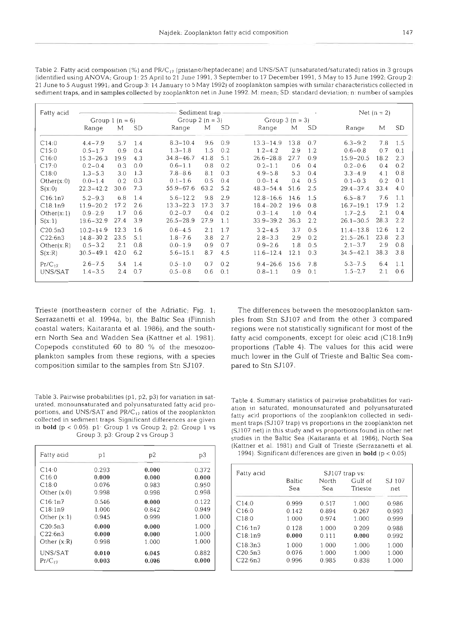- --

| Fatty acid  | Sediment trap -   |         |           |                  |      |     |               |                  | Net $(n = 2)$ |               |      |           |
|-------------|-------------------|---------|-----------|------------------|------|-----|---------------|------------------|---------------|---------------|------|-----------|
|             | Group $1 (n = 6)$ |         |           | Group $2(n = 3)$ |      |     |               | Group $3(n = 3)$ |               |               |      |           |
|             | Range             | М       | <b>SD</b> | Range            | М    | SD  | Range         | М                | SD            | Range         | M    | <b>SD</b> |
| C14:0       | $4.4 - 7.9$       | 5.7     | 1.4       | $8.3 - 10.4$     | 9.6  | 0.9 | $13.3 - 14.9$ | 13.8             | 0.7           | $6.3 - 9.2$   | 7.8  | 1.5       |
| C15:0       | $0.5 - 1.7$       | 0.9     | 0.4       | $1.3 - 1.8$      | 1.5  | 0.2 | $1.2 - 4.2$   | 2.9              | 1.2           | $0.6 - 0.8$   | 0.7  | 0.1       |
| C16:0       | $15.3 - 26.3$     | 19.9    | 4.3       | $34.8 - 46.7$    | 41.8 | 5.1 | $26.6 - 28.8$ | 27.7             | 0.9           | $15.9 - 20.5$ | 18.2 | 2.3       |
| C17:0       | $0.2 - 0.4$       | 0.3     | 0.0       | $0.6 - 1.1$      | 0.8  | 0.2 | $0.2 - 1.1$   | 0.6              | 0.4           | $0.2 - 0.6$   | 0.4  | 0.2       |
| C18:0       | $1.3 - 5.3$       | 3.0     | 1.3       | $7.8 - 8.6$      | 8.1  | 0.3 | $4.9 - 5.8$   | 5.3              | 0.4           | $3.3 - 4.9$   | 4.1  | 0.8       |
| Other(x:0)  | $0.0 - 1.4$       | 0.2     | 0.3       | $0.1 - 1.6$      | 0.5  | 0.4 | $0.0 - 1.4$   | 0.4              | 0.5           | $0.1 - 0.3$   | 0.2  | 0.1       |
| S(x:0)      | $22.3 - 42.2$     | 30.6    | 7.3       | $55.9 - 67.6$    | 63.2 | 5.2 | $48.3 - 54.4$ | 51.6             | 2.5           | $29.4 - 37.4$ | 33.4 | 4.0       |
| C16:1n7     | $5.2 - 9.3$       | 6.8     | 1.4       | $5.6 - 12.2$     | 9.8  | 2.9 | $12.8 - 16.6$ | 14.6             | 1.5           | $6.5 - 8.7$   | 7.6  | 1.1       |
| C18:1n9     | $11.9 - 20.2$     | 17.2    | 2.6       | $13.3 - 22.3$    | 17.3 | 3.7 | $18.4 - 20.2$ | 19.6             | 0.8           | $16.7 - 19.1$ | 17.9 | 1.2       |
| Other(x:1)  | $0.9 - 2.9$       | 17      | 0.6       | $0.2 - 0.7$      | 0.4  | 0.2 | $0.3 - 1.4$   | 1.0              | 0.4           | $1.7 - 2.5$   | 2.1  | 0.4       |
| S(x:1)      | $19.6 - 32.9$     | 27.4    | 3.9       | $26.5 - 28.9$    | 27.9 | 1.1 | $33.9 - 39.2$ | 36.3             | 2.2           | $26.1 - 30.5$ | 28.3 | 2.2       |
| C20:5n3     | $10.2 - 14.9$     | 12.3    | 1.6       | $0.6 - 4.5$      | 2.1  | 1.7 | $3.2 - 4.5$   | 3.7              | 0.5           | $11.4 - 13.8$ | 12.6 | 1.2       |
| C22:6n3     | $14.8 - 30.2$     | 23.5    | 5.1       | $1.8 - 7.6$      | 3.8  | 2.7 | $2.8 - 3.3$   | 2.9              | 0.2           | $21.5 - 26.1$ | 23.8 | 2.3       |
| Other(x:R)  | $0.5 - 3.2$       | 2.1     | 0.8       | $0.0 - 1.9$      | 0.9  | 0.7 | $0.9 - 2.6$   | 1.8              | 0.5           | $2.1 - 3.7$   | 2.9  | 0.8       |
| S(x:R)      | $30.5 - 49.1$     | 42.0    | 6.2       | $5.6 - 15.1$     | 8.7  | 4.5 | $11.6 - 12.4$ | 12.1             | 0.3           | $34.5 - 42.1$ | 38.3 | 3.8       |
| $Pr/C_{12}$ | $2.6 - 7.5$       | 5.4     | 1.4       | $0.5 - 1.0$      | 0.7  | 0.2 | $9.4 - 26.6$  | 15.6             | 7.8           | $5.3 - 7.5$   | 6.4  | 1.1       |
| UNS/SAT     | $1.4 - 3.5$       | $2.4\,$ | 0.7       | $0.5 - 0.8$      | 0.6  | 0.1 | $0.8 - 1.1$   | 0.9              | 0.1           | $1.5 - 2.7$   | 2.1  | 0.6       |

Table 2. Fatty acid composition (%) and PR/C<sub>17</sub> (pristane/heptadecane) and UNS/SAT (unsaturated/saturated) ratios in 3 groups (identified using ANOVA; Group 1: 25 April to 21 June 1991.3 September to 17 December 1991,5 May to 15 June 1992; Group 2: 21 June to 5 August 1991; and Group 3: 14 January to 5 May 1992) of zooplankton samples with similar characteristics collected in sediment traps, and in samples collected by zooplankton net in June 1992. M: mean; SD: standard deviation; n: number of samples

Trieste (northeastern corner of the Adriatic; Fig. 1; The differences between the mesozooplankton sam-Serrazanetti et al. 1994a, b), the Baltic Sea (Finnish ples from Stn SJ107 and from the other 3 compared coastal waters; Kaitaranta et al. 1986), and the south- regions were not statistically significant for most of the ern North Sea and Wadden Sea (Kattner et al. 1981). fatty acid components, except for oleic acid (C18:lng) Copepods constituted 60 to 80 % of the mesozoo- proportions (Table 4). The values for this acid were plankton samples from these regions, with a species much lower in the Gulf of Trieste and Baltic Sea comcomposition similar to the samples from Stn SJ107. pared to Stn SJ107.

Table 3. Pairwise probabilities (p1, p2, p3) for variation in sat-<br>urated, monounsaturated and polyunsaturated fatty acid pro-<br>portions, and UNS/SAT and PR/C<sub>17</sub> ratios of the zooplankton<br>collected in sediment traps. Sign

| Fatty acid    | p1    | p2    | p3    |
|---------------|-------|-------|-------|
| C14:0         | 0.293 | 0.000 | 0.372 |
| C16:0         | 0.000 | 0.000 | 0.000 |
| C18:0         | 0.076 | 0.983 | 0.950 |
| Other $(x:0)$ | 0.998 | 0.998 | 0.998 |
| C16:1n7       | 0.546 | 0.000 | 0.122 |
| C18:1n9       | 1.000 | 0.842 | 0.949 |
| Other $(x:1)$ | 0.945 | 0.999 | 1.000 |
| C20:5n3       | 0.000 | 0.000 | 1.000 |
| C22:6n3       | 0.000 | 0.000 | 1.000 |
| Other $(x:R)$ | 0.998 | 1.000 | 1.000 |
| UNS/SAT       | 0.010 | 0.045 | 0.882 |
| $Pr/C_{17}$   | 0.003 | 0.006 | 0.000 |

Group 3; particle of the Group 2; p2: Group 1 vs (SJ107 net) in this study and vs proportions found in other net Group 3; p3: Group 2 vs Group 3 studies in the Baltic Sea (Kaitaranta et al. 1986), North Sea (Kattner et al. 1981) and Gulf of Trieste (Serrazanetti et al. 1994). Significant differences are given in **bold**  $(p < 0.05)$ 

| Fatty acid | SJ107 trap vs: |       |         |        |  |  |  |  |
|------------|----------------|-------|---------|--------|--|--|--|--|
|            | Baltic         | North | Gulf of | SJ 107 |  |  |  |  |
|            | Sea            | Sea.  | Trieste | net    |  |  |  |  |
| C14:0      | 0.999          | 0.517 | 1.000   | 0.986  |  |  |  |  |
| C16:0      | 0.142          | 0.894 | 0.267   | 0.993  |  |  |  |  |
| C18:0      | 1.000          | 0.974 | 1.000   | 0.999  |  |  |  |  |
| C16:1n7    | 0.128          | 1.000 | 0.209   | 0.988  |  |  |  |  |
| C18:1n9    | 0.000          | 0.111 | 0.000   | 0.992  |  |  |  |  |
| C18:3n3    | 1.000          | 1.000 | 1.000   | 1.000  |  |  |  |  |
| C20:5n3    | 0.076          | 1.000 | 1.000   | 1.000  |  |  |  |  |
| C22.6n3    | 0.996          | 0.985 | 0.838   | 1.000  |  |  |  |  |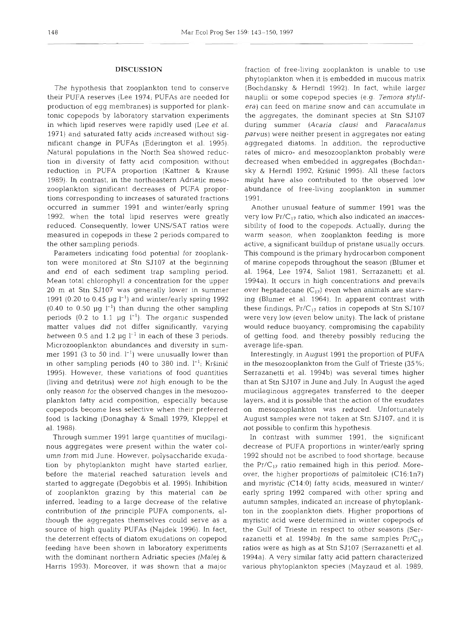# **DISCUSSION**

The hypothesis that zooplankton tend to conserve their PUFA reserves (Lee 1974; PUFAs are needed for production of egg membranes) is supported for planktonic copepods by laboratory starvation experiments in which lipid reserves were rapidly used (Lee et al. 1971) and saturated fatty acids increased without significant change in PUFAs (Ederington et al. 1995). Natural populations in the North Sea showed reduction in diversity of fatty acid composition without reduction in PUFA proportion (Kattner & Krause 1989). In contrast, in the northeastern Adriatic mesozooplankton significant decreases of PUFA proportions corresponding to increases of saturated fractions occurred in summer 1991 and winter/early spring 1992, when the total lipid reserves were greatly reduced. Consequently, lower UNS/SAT ratios were measured in copepods in these 2 periods compared to the other sampling periods.

Parameters indicating food potential for zooplankton were monitored at Stn SJ107 at the beginning and end of each sediment trap sampling period. Mean total chlorophyll *a* concentration for the upper 20 m at Stn SJ107 was generally lower in summer 1991 (0.20 to 0.45  $\mu$ g l<sup>-1</sup>) and winter/early spring 1992  $(0.40 \text{ to } 0.50 \text{ µg } l^{-1})$  than during the other sampling periods (0.2 to 1.1  $\mu$ g  $I^{-1}$ ). The organic suspended matter values did not differ significantly, varying between 0.5 and 1.2 pg 1-' in each of these **3** periods. Microzooplankton abundances and diversity in summer 1991 (3 to 50 ind.  $l^{-1}$ ) were unusually lower than in other sampling periods (40 to 380 ind.  $l^{-1}$ ; Kršinić 1995). However, these variations of food quantities (living and detritus) were not high enough to be the only reason for the observed changes in the mesozooplankton fatty acid composition, especially because copepods become less selective when their preferred food is lacking (Donaghay & Small 1979, Kleppel et al. 1988).

Through summer 1991 large quantities of mucilaginous aggregates were present within the water column from mid June. However, polysaccharide exudation by phytoplankton might have started earlier, before the material reached saturation levels and started to aggregate (Degobbis et al. 1995). Inhibition of zooplankton grazing by this material can be inferred, leading to a large decrease of the relative contribution of the principle PUFA components, although the aggregates themselves could serve as a source of high quality PUFAs (Najdek 1996). In fact, the deterrent effects of diatom exudations on copepod feeding have been shown in laboratory experiments with the dominant northern Adriatic species (Malej & Harris 1993). Moreover, it was shown that a major

fraction of free-living zooplankton is unable to use phytoplankton when it is embedded in mucous matrix (Bochdansky & Herndl 1992). In fact, while larger nauplii or some copepod species (e.g. *Temora* stylifera) can feed on marine snow and can accumulate in the aggregates, the dominant species at Stn SJ107 during summer *(Acaria clausi* and *Paracalanus*  parvus) were neither present in aggregates nor eating aggregated diatoms. In addition, the reproductive rates of micro- and mesozooplankton probably were decreased when embedded in aggregates (Bochdansky & Herndl 1992, Kršinić 1995). All these factors might have also contributed to the observed low abundance of free-living zooplankton in summer 1991.

Another unusual feature of summer 1991 was the very low  $Pr/C_{17}$  ratio, which also indicated an inaccessibility of food to the copepods. Actually, during the warm season, when zooplankton feeding is more active, a significant buildup of pristane usually occurs. This compound is the primary hydrocarbon component of marine copepods throughout the season (Blumer et al. 1964, Lee 1974, Saliot 1981, Serrazanetti et al. 1994a). It occurs in high concentrations and prevails over heptadecane  $(C_{17})$  even when animals are starving (Blumer et al. 1964). In apparent contrast with these findings,  $Pr/C_{17}$  ratios in copepods at Stn SJ107 were very low (even below unity). The lack of pristane would reduce buoyancy, compromising the capability of getting food, and thereby possibly reducing the average life-span.

Interestingly, in August 1991 the proportion of PUFA in the mesozooplankton from the Gulf of Trieste (35 %; Serrazanetti et al. 1994b) was several times higher than at Stn SJ107 in June and July In August the aged mucilaginous aggregates transferred to the deeper layers, and it is possible that the action of the exudates on mesozooplankton was reduced. Unfortunately August samples were not taken at Stn SJ107, and it is not possible to confirm this hypothesis.

In contrast with summer 1991, the significant decrease of PUFA proportions in winter/early spring 1992 should not be ascribed to food shortage, because the Pr/ $C_{17}$  ratio remained high in this period. Moreover, the higher proportions of palmitoleic (C16:1n7) and myristic (C14:O) fatty acids, measured in winter/ early spring 1992 compared with other spring and autumn samples, indicated an increase of phytoplankton in the zooplankton diets. Higher proportions of myristic acid were determined in winter copepods of the Gulf of Trieste in respect to other seasons (Serrazanetti et al. 1994b). In the same samples  $Pr/C_{17}$ ratios were as high as at Stn SJ107 (Serrazanetti et al. 1994a). A very similar fatty acid pattern characterized various phytoplankton species (Mayzaud et al. 1989,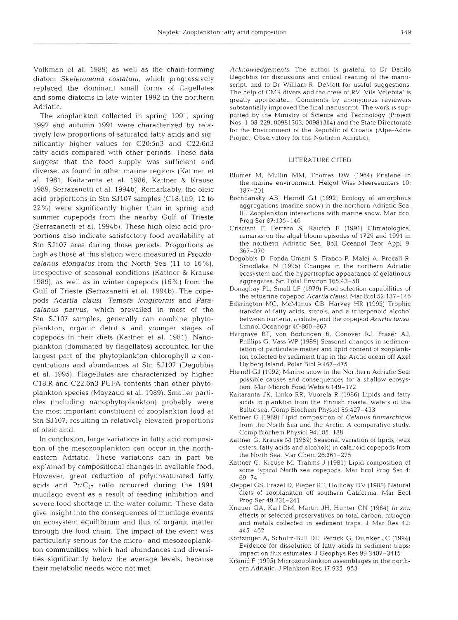The zooplankton collected in spring 1991, spring 1992 and autumn 1991 were characterized by relatively low proportions of saturated fatty acids and significantly higher values for C20:5n3 and C22:6n3 fatty acids compared with other periods. These data suggest that the food supply was sufficient and diverse, as found in other marine regions (Kattner et al. 1981, Kaitaranta et al. 1986, Kattner & Krause 1989, Serrazanetti et al. 1994b). Remarkably, the oleic acid proportions in Stn SJ107 samples (C18:1n9, 12 to 22%) were significantly higher than in spring and summer copepods from the nearby Gulf of Trieste (Serrazanetti et al. 1994b). These high oleic acid proportions also indicate satisfactory food availability at Stn SJ107 area during those periods. Proportions as high as those at this station were measured in Pseudocalanus elongatus from the North Sea (11 to 16%), irrespective of seasonal conditions (Kattner & Krause 1989), as well as in winter copepods (16%) from the Gulf of Trieste (Serrazanetti et al. 1994b). The copepods Acartia clausi, Temora longicornis and Paracalanus parvus, which prevailed in most of the Stn SJ107 samples, generally can combine phytoplankton, organic detritus and younger stages of copepods in their diets (Kattner et al. 1981). Nanoplankton (dominated by flagellates) accounted for the largest part of the phytoplankton chlorophyll a concentrations and abundances at Stn SJ107 (Degobbis et al. 1995). Flagellates are characterized by higher C18:R and C22:6n3 PUFA contents than other phytoplankton species (Mayzaud et al. 1989). Smaller particles (including nanophytoplankton) probably were the most important constituent of zooplankton food at Stn SJ107, resulting in relatively elevated proportions of oleic acid.

In conclusion, large variations in fatty acid composition of the mesozooplankton can occur in the northeastern Adriatic. These variations can in part be explained by compositional changes in available food. However, great reduction of polyunsaturated fatty acids and  $Pr/C_{17}$  ratio occurred during the 1991 mucilage event as a result of feeding inhibition and severe food shortage in the water column. These data give insight into the consequences of mucilage events on ecosystem equilibrium and flux of organic matter through the food chain. The impact of the event was particularly serious for the micro- and mesozooplankton communities, which had abundances and diversities significantly below the average levels, because their metabolic needs were not met.

Acknowledgements. The author is grateful to Dr Danilo Degobbis for discussions and critical reading of the manuscript, and to Dr William R. DeMott for useful suggestions. The help of CMR divers and the crew of RV 'Vila Velebita' is greatly appreciated. Comments by anonymous reviewers substantially improved the final manuscript. The work is supported by the Ministry of Science and Technology (Project Nos 1-08-229, 00981303, 00981304) and the State Directorate for the Environment of the Republic of Croatia (Alpe-Adria Project, Observatory for the Northern Adriatic).

# LITERATURE CITED

- Blumer M, Mullin MM, Thomas DW (1964) Pristane in the marine environment. Helgol Wiss Meeresunters 10: 187-201
- Bochdansky AB, Herndl GJ (1992) Ecology of amorphous aggregations (marine snow) in the northern Adriatic Sea. 111. Zooplankton interactions with marine snow. Mar Ecol Prog Ser 87:135-146
- Crisciani F, Ferraro S, Raicich F (1991) Climatological remarks on the algal bloom episodes of 1729 and 1991 in the northern Adriatic Sea. Boll Oceanol Teor Appl 9: 367-370
- Degobbis D, Fonda-Umani S, Franco P, Malej A, Precali R, Smodlaka N (1995) Changes in the northern Adriatic ecosystem and the hypertrophic appearance of gelatinous aggregates. SCI Total Environ 165.43-58
- Donaghay PL, Small LF (1979) Food selection capabilities of the estuarine copepod Acartia clausi. Mar Biol 52:137-146
- Ederington MC, McManus GB, Harvey HR (1995) Trophic transfer of fatty acids, sterols, and a triterpenoid alcohol between bacteria, a ciliate, and the copepod Acartia tonsa. Limnol Oceanogr 40:860-867
- Hargrave BT, von Bodungen B, Conover RJ. Fraser AJ, Phillips G, Vass WP (1989) Seasonal changes in sedimentation of particulate matter and lipid content of zooplankton collected by sediment trap in the Arctic ocean off Axel Heiberg Island. Polar Biol 9:467-475
- Herndl GJ (1992) Marine snow in the Northern Adriatic Sea: possible causes and consequences for a shallow ecosystem. Mar Microb Food Webs 6:149-172
- Kaitaranta JK, Linko RR, Vuorela R (1986) Lipids and fatty acids in plankton from the Finnish coastal waters of the Baltic sea. Comp Biochem Physiol 85:427-433
- Kattner G (1989) Lipid composition of Calanus finmarchicus from the North Sea and the Arctic. A comparative study. Comp Blochem Physiol 94.185-188
- Kattner G. Krause M (1989) Seasonal variation of lipids (wax esters, fatty acids and alcohols) In calanoid copepods from the North Sea. Mar Chem 26:261-275
- Kattner G, Krause M, Trahms J (1981) Lipid composition of some typical North sea copepods Mar Ecol Prog Ser 4: 69-74
- Kleppel GS, Frazel D, Pieper RE, Holliday DV (1988) Natural diets of zooplankton off southern California. Mar Ecol Prog Ser 49:231-241
- Knauer GA, Karl DM, Martin JH, Hunter CN (1984) In situ effects of selected preservatives on total carbon, nitrogen and metals collected in sediment traps. J Mar Res 42: 445-462
- Kortzinger A, Schultz-Bull DE, Petrick G, Dulnker JC (1994) Evidence for dissolution of fatty acids in sediment traps: impact on flux estimates. J Geophys Res 99:3407-3415
- Kršinić F (1995) Microzooplankton assemblages in the northern Adnatic. J Plankton Res 17:935-953